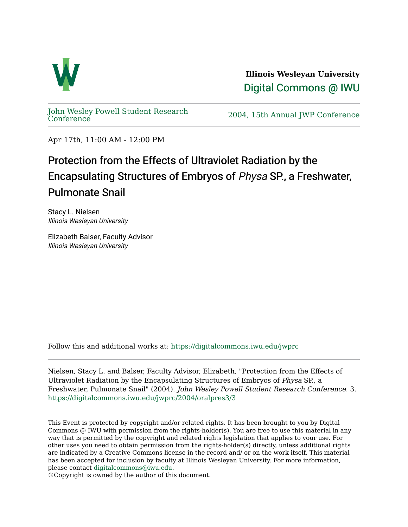

**Illinois Wesleyan University**  [Digital Commons @ IWU](https://digitalcommons.iwu.edu/) 

[John Wesley Powell Student Research](https://digitalcommons.iwu.edu/jwprc) 

2004, 15th Annual JWP [Conference](https://digitalcommons.iwu.edu/jwprc)

Apr 17th, 11:00 AM - 12:00 PM

## Protection from the Effects of Ultraviolet Radiation by the Encapsulating Structures of Embryos of Physa SP., a Freshwater, Pulmonate Snail

Stacy L. Nielsen Illinois Wesleyan University

Elizabeth Balser, Faculty Advisor Illinois Wesleyan University

Follow this and additional works at: [https://digitalcommons.iwu.edu/jwprc](https://digitalcommons.iwu.edu/jwprc?utm_source=digitalcommons.iwu.edu%2Fjwprc%2F2004%2Foralpres3%2F3&utm_medium=PDF&utm_campaign=PDFCoverPages) 

Nielsen, Stacy L. and Balser, Faculty Advisor, Elizabeth, "Protection from the Effects of Ultraviolet Radiation by the Encapsulating Structures of Embryos of Physa SP., a Freshwater, Pulmonate Snail" (2004). John Wesley Powell Student Research Conference. 3. [https://digitalcommons.iwu.edu/jwprc/2004/oralpres3/3](https://digitalcommons.iwu.edu/jwprc/2004/oralpres3/3?utm_source=digitalcommons.iwu.edu%2Fjwprc%2F2004%2Foralpres3%2F3&utm_medium=PDF&utm_campaign=PDFCoverPages)

This Event is protected by copyright and/or related rights. It has been brought to you by Digital Commons @ IWU with permission from the rights-holder(s). You are free to use this material in any way that is permitted by the copyright and related rights legislation that applies to your use. For other uses you need to obtain permission from the rights-holder(s) directly, unless additional rights are indicated by a Creative Commons license in the record and/ or on the work itself. This material has been accepted for inclusion by faculty at Illinois Wesleyan University. For more information, please contact [digitalcommons@iwu.edu.](mailto:digitalcommons@iwu.edu)

©Copyright is owned by the author of this document.